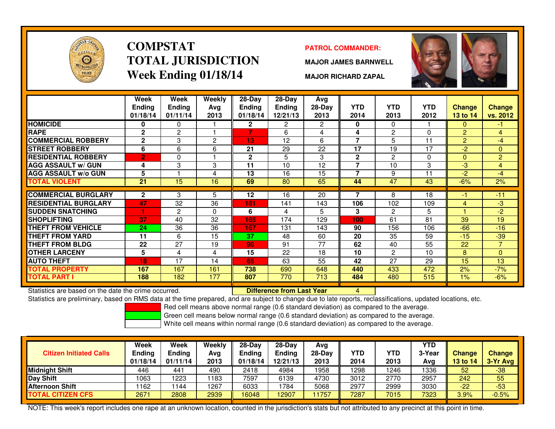

### **COMPSTATTOTAL JURISDICTIONWeek Ending 01/18/14**

#### **PATROL COMMANDER:**

**MAJOR JAMES BARNWELL**

**MAJOR RICHARD ZAPAL**



|                             | Week                      | Week                      | Weekly         | $28-Day$                  | $28-Day$                  | Avg              |                    |                    |                    |                           |                           |
|-----------------------------|---------------------------|---------------------------|----------------|---------------------------|---------------------------|------------------|--------------------|--------------------|--------------------|---------------------------|---------------------------|
|                             | <b>Ending</b><br>01/18/14 | <b>Endina</b><br>01/11/14 | Avg<br>2013    | <b>Endina</b><br>01/18/14 | <b>Ending</b><br>12/21/13 | $28-Day$<br>2013 | <b>YTD</b><br>2014 | <b>YTD</b><br>2013 | <b>YTD</b><br>2012 | <b>Change</b><br>13 to 14 | <b>Change</b><br>vs. 2012 |
| <b>HOMICIDE</b>             | 0                         | 0                         |                | $\mathbf{2}$              | 2                         | 2                | 0                  | $\mathbf{0}$       |                    | $\Omega$                  | $-1$                      |
| <b>RAPE</b>                 | $\mathbf{2}$              | 2                         |                | 7                         | 6                         | 4                | 4                  | 2                  | 0                  | $\overline{2}$            | $\overline{4}$            |
| <b>COMMERCIAL ROBBERY</b>   | $\mathbf{2}$              | 3                         | $\overline{2}$ | 13                        | 12                        | 6                | 7                  | 5                  | 11                 | 2                         | $-4$                      |
| <b>STREET ROBBERY</b>       | 6                         | 6                         | 6              | 21                        | 29                        | 22               | 17                 | 19                 | 17                 | $-2$                      | $\mathbf{0}$              |
| <b>RESIDENTIAL ROBBERY</b>  | י 2                       | $\Omega$                  |                | $\mathbf{2}$              | 5                         | 3                | $\mathbf{2}$       | 2                  | $\Omega$           | $\Omega$                  | $\overline{2}$            |
| <b>AGG ASSAULT w/ GUN</b>   | 4                         | 3                         | 3              | 11                        | 10                        | 12               | 7                  | 10                 | 3                  | $-3$                      | 4                         |
| <b>AGG ASSAULT w/o GUN</b>  | 5                         |                           | 4              | 13                        | 16                        | 15               | 7                  | 9                  | 11                 | $-2$                      | $-4$                      |
| <b>TOTAL VIOLENT</b>        | $\overline{21}$           | $\overline{15}$           | 16             | 69                        | 80                        | 65               | 44                 | 47                 | 43                 | $-6%$                     | 2%                        |
|                             |                           |                           |                |                           |                           |                  |                    |                    |                    |                           |                           |
| <b>COMMERCIAL BURGLARY</b>  | $\mathbf{2}$              | 3                         | 5              | 12                        | 16                        | 20               | 7                  | 8                  | 18                 | -1                        | $-11$                     |
| <b>RESIDENTIAL BURGLARY</b> | 47                        | 32                        | 36             | 181                       | 141                       | 143              | 106                | 102                | 109                | 4                         | $-3$                      |
| <b>SUDDEN SNATCHING</b>     |                           | 2                         | $\Omega$       | 6                         | 4                         | 5.               | 3                  | 2                  | 5                  |                           | $-2$                      |
| <b>SHOPLIFTING</b>          | 37                        | 40                        | 32             | 165                       | 174                       | 129              | 100                | 61                 | 81                 | 39                        | 19                        |
| <b>THEFT FROM VEHICLE</b>   | 24                        | 36                        | 36             | 167                       | 131                       | 143              | 90                 | 156                | 106                | $-66$                     | $-16$                     |
| <b>THEFT FROM YARD</b>      | 11                        | 6                         | 15             | 37                        | 48                        | 60               | 20                 | 35                 | 59                 | $-15$                     | $-39$                     |
| <b>THEFT FROM BLDG</b>      | 22                        | 27                        | 19             | 90                        | 91                        | 77               | 62                 | 40                 | 55                 | 22                        | $\overline{7}$            |
| <b>OTHER LARCENY</b>        | 5                         | 4                         | 4              | 15                        | 22                        | 18               | 10                 | 2                  | 10                 | 8                         | $\mathbf{0}$              |
| <b>AUTO THEFT</b>           | 18                        | 17                        | 14             | 65                        | 63                        | 55               | 42                 | 27                 | 29                 | 15                        | 13                        |
| <b>TOTAL PROPERTY</b>       | 167                       | 167                       | 161            | 738                       | 690                       | 648              | 440                | 433                | 472                | 2%                        | $-7%$                     |
| <b>TOTAL PART I</b>         | 188                       | 182                       | 177            | 807                       | 770                       | 713              | 484                | 480                | 515                | 1%                        | $-6%$                     |

Statistics are based on the date the crime occurred. **Difference from Last Year** 

Statistics are based on the date the crime occurred. **[19] Letter Lubber 10 Letter Conduct Statistics** are based on the date time occurred.<br>Statistics are preliminary, based on RMS data at the time prepared, and are subjec

Red cell means above normal range (0.6 standard deviation) as compared to the average.

Green cell means below normal range (0.6 standard deviation) as compared to the average.

White cell means within normal range (0.6 standard deviation) as compared to the average.

| <b>Citizen Initiated Calls</b> | Week<br><b>Ending</b><br>01/18/14 | Week<br><b>Ending</b><br>01/11/14 | Weekly<br>Avg<br>2013 | 28-Day<br><b>Ending</b><br>01/18/14 | $28-Dav$<br>Ending<br>12/21/13 | Avg<br>28-Dav<br>2013 | YTD<br>2014 | YTD<br>2013 | <b>YTD</b><br>3-Year<br>Avg | <b>Change</b><br>13 to 14 | <b>Change</b><br>3-Yr Avg |
|--------------------------------|-----------------------------------|-----------------------------------|-----------------------|-------------------------------------|--------------------------------|-----------------------|-------------|-------------|-----------------------------|---------------------------|---------------------------|
| <b>Midnight Shift</b>          | 446                               | 441                               | 490                   | 2418                                | 4984                           | 1958                  | 1298        | 1246        | 1336                        | 52                        | $-38$                     |
| Day Shift                      | 1063                              | 1223                              | 183                   | 7597                                | 6139                           | 4730                  | 3012        | 2770        | 2957                        | 242                       | 55                        |
| <b>Afternoon Shift</b>         | 162                               | 144                               | 1267                  | 6033                                | 784                            | 5068                  | 2977        | 2999        | 3030                        | $-22$                     | $-53$                     |
| TOTAL CITIZEN CFS              | 2671                              | 2808                              | 2939                  | 16048                               | 12907                          | 1757                  | 7287        | 7015        | 7323                        | 3.9%                      | $-0.5%$                   |

NOTE: This week's report includes one rape at an unknown location, counted in the jurisdiction's stats but not attributed to any precinct at this point in time.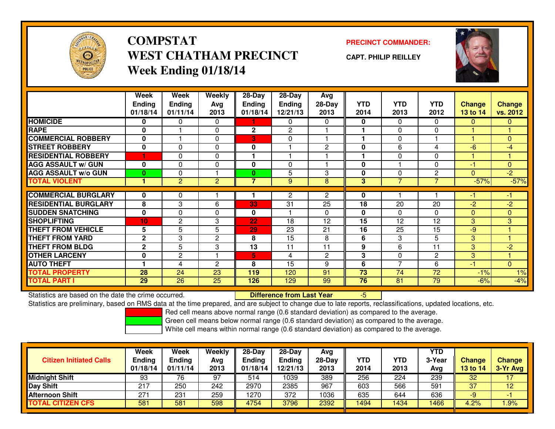

# **COMPSTATWEST CHATHAM PRECINCTWeek Ending 01/18/14**

### **PRECINCT COMMANDER:**

**CAPT. PHILIP REILLEY**



|                             | Week<br><b>Endina</b><br>01/18/14 | Week<br><b>Ending</b><br>01/11/14 | Weekly<br>Avg<br>2013 | 28-Day<br><b>Ending</b><br>01/18/14 | 28-Day<br><b>Ending</b><br>12/21/13 | Avg<br>28-Day<br>2013 | <b>YTD</b><br>2014 | <b>YTD</b><br>2013 | <b>YTD</b><br>2012 | <b>Change</b><br><b>13 to 14</b> | <b>Change</b><br>vs. 2012 |
|-----------------------------|-----------------------------------|-----------------------------------|-----------------------|-------------------------------------|-------------------------------------|-----------------------|--------------------|--------------------|--------------------|----------------------------------|---------------------------|
| <b>HOMICIDE</b>             | 0                                 | 0                                 | $\Omega$              |                                     | $\mathbf{0}$                        | $\Omega$              | 0                  | $\Omega$           | 0                  | $\Omega$                         | $\mathbf{0}$              |
| <b>RAPE</b>                 | $\mathbf{0}$                      |                                   | $\Omega$              | 2                                   | $\overline{2}$                      |                       |                    | $\Omega$           | 0                  |                                  |                           |
| <b>COMMERCIAL ROBBERY</b>   | $\mathbf{0}$                      |                                   | $\mathbf{0}$          | 3                                   | 0                                   |                       |                    | $\Omega$           |                    |                                  | $\Omega$                  |
| <b>STREET ROBBERY</b>       | $\mathbf{0}$                      | $\Omega$                          | $\mathbf 0$           | 0                                   |                                     | $\overline{2}$        | 0                  | 6                  | 4                  | $-6$                             | $-4$                      |
| <b>RESIDENTIAL ROBBERY</b>  |                                   | $\Omega$                          | $\Omega$              |                                     |                                     |                       |                    | $\Omega$           | 0                  | ٠                                |                           |
| <b>AGG ASSAULT w/ GUN</b>   | 0                                 | 0                                 | 0                     | 0                                   | $\mathbf 0$                         |                       | 0                  |                    | 0                  | -1                               | $\mathbf{0}$              |
| <b>AGG ASSAULT w/o GUN</b>  | $\mathbf{0}$                      | $\Omega$                          |                       | 0                                   | 5                                   | 3                     | 0                  | $\mathbf{0}$       | 2                  | $\Omega$                         | $-2$                      |
| <b>TOTAL VIOLENT</b>        |                                   | $\overline{2}$                    | 2                     | $\overline{7}$                      | 9                                   | 8                     | 3                  | 7                  | 7                  | $-57%$                           | $-57%$                    |
|                             |                                   |                                   |                       |                                     |                                     |                       |                    |                    |                    |                                  |                           |
| <b>COMMERCIAL BURGLARY</b>  | 0                                 | 0                                 |                       |                                     | $\overline{2}$                      | $\overline{2}$        | 0                  |                    |                    | -1                               | -1                        |
| <b>RESIDENTIAL BURGLARY</b> | 8                                 | 3                                 | 6                     | 33                                  | 31                                  | 25                    | 18                 | 20                 | 20                 | $-2$                             | $-2$                      |
| <b>SUDDEN SNATCHING</b>     | $\bf{0}$                          | 0                                 | 0                     | 0                                   |                                     | $\Omega$              | 0                  | $\mathbf{0}$       | 0                  | $\mathbf{0}$                     | $\mathbf{0}$              |
| <b>SHOPLIFTING</b>          | 10                                | 2                                 | 3                     | 22                                  | 18                                  | 12                    | 15                 | 12                 | 12                 | 3                                | 3                         |
| <b>THEFT FROM VEHICLE</b>   | 5                                 | 5                                 | 5                     | 29                                  | 23                                  | 21                    | 16                 | 25                 | 15                 | -9                               |                           |
| <b>THEFT FROM YARD</b>      | $\mathbf{2}$                      | 3                                 | 2                     | 8                                   | 15                                  | 8                     | 6                  | 3                  | 5                  | 3                                |                           |
| <b>THEFT FROM BLDG</b>      | $\mathbf{2}$                      | 5                                 | 3                     | 13                                  | 11                                  | 11                    | 9                  | 6                  | 11                 | 3                                | $-2$                      |
| <b>OTHER LARCENY</b>        | 0                                 | $\mathbf{2}$                      |                       | 5                                   | 4                                   | $\overline{2}$        | 3                  | $\mathbf{0}$       | 2                  | 3                                |                           |
| <b>AUTO THEFT</b>           |                                   | 4                                 | $\mathbf{c}$          | 8                                   | 15                                  | 9                     | 6                  | $\overline{7}$     | 6                  | -1                               | $\Omega$                  |
| <b>TOTAL PROPERTY</b>       | 28                                | 24                                | 23                    | 119                                 | 120                                 | 91                    | 73                 | 74                 | 72                 | $-1%$                            | 1%                        |
| <b>TOTAL PART I</b>         | 29                                | 26                                | 25                    | 126                                 | 129                                 | 99                    | 76                 | 81                 | 79                 | $-6%$                            | $-4%$                     |

Statistics are based on the date the crime occurred. **Difference from Last Year** 

Statistics are based on the date the crime occurred.<br>Statistics are preliminary, based on RMS data at the time prepared, and are subject to change due to late reports, reclassifications, updated locations, etc.

Red cell means above normal range (0.6 standard deviation) as compared to the average.

Green cell means below normal range (0.6 standard deviation) as compared to the average.

| <b>Citizen Initiated Calls</b> | Week<br><b>Ending</b><br>01/18/14 | Week<br><b>Ending</b><br>01/11/14 | Weekly<br>Avg<br>2013 | 28-Day<br>Ending<br>01/18/14 | $28-Dav$<br><b>Ending</b><br>12/21/13 | Avg<br>28-Day<br>2013 | YTD<br>2014 | YTD<br>2013 | <b>YTD</b><br>3-Year<br>Avg | <b>Change</b><br><b>13 to 14</b> | <b>Change</b><br>3-Yr Avg |
|--------------------------------|-----------------------------------|-----------------------------------|-----------------------|------------------------------|---------------------------------------|-----------------------|-------------|-------------|-----------------------------|----------------------------------|---------------------------|
| Midnight Shift                 | 93                                | 76                                | 97                    | 514                          | 1039                                  | 389                   | 256         | 224         | 239                         | 32                               |                           |
| Day Shift                      | 217                               | 250                               | 242                   | 2970                         | 2385                                  | 967                   | 603         | 566         | 591                         | 37                               | 12                        |
| <b>Afternoon Shift</b>         | 271                               | 231                               | 259                   | 1270                         | 372                                   | 1036                  | 635         | 644         | 636                         | -9                               |                           |
| <b>TOTAL CITIZEN CFS</b>       | 581                               | 581                               | 598                   | 4754                         | 3796                                  | 2392                  | 1494        | 1434        | 1466                        | 4.2%                             | 1.9%                      |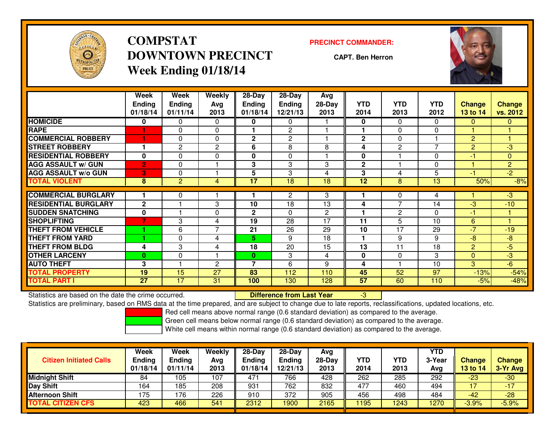

# **COMPSTATDOWNTOWN PRECINCTWeek Ending 01/18/14**

#### **PRECINCT COMMANDER:**

**CAPT. Ben Herron**



|                             | Week<br><b>Ending</b><br>01/18/14 | Week<br><b>Ending</b><br>01/11/14 | Weekly<br>Avg<br>2013 | 28-Day<br><b>Ending</b><br>01/18/14 | 28-Day<br><b>Ending</b><br>12/21/13 | Avg<br>28-Day<br>2013 | <b>YTD</b><br>2014 | <b>YTD</b><br>2013 | <b>YTD</b><br>2012 | <b>Change</b><br>13 to 14 | <b>Change</b><br>vs. 2012 |
|-----------------------------|-----------------------------------|-----------------------------------|-----------------------|-------------------------------------|-------------------------------------|-----------------------|--------------------|--------------------|--------------------|---------------------------|---------------------------|
| <b>HOMICIDE</b>             | 0                                 | 0                                 | $\Omega$              | 0                                   | 0                                   |                       | 0                  | $\Omega$           | 0                  | $\mathbf{0}$              | $\mathbf{0}$              |
| <b>RAPE</b>                 |                                   | $\Omega$                          | $\Omega$              |                                     | $\overline{c}$                      |                       |                    | $\Omega$           | 0                  |                           |                           |
| <b>COMMERCIAL ROBBERY</b>   |                                   | $\Omega$                          | $\Omega$              | 2                                   | $\overline{2}$                      |                       | $\mathbf 2$        | $\Omega$           |                    | $\overline{2}$            |                           |
| <b>STREET ROBBERY</b>       |                                   | $\mathbf{2}$                      | 2                     | 6                                   | 8                                   | 8                     | 4                  | 2                  | $\overline{ }$     | $\overline{2}$            | $-3$                      |
| <b>RESIDENTIAL ROBBERY</b>  | $\bf{0}$                          | $\Omega$                          | 0                     | 0                                   | $\Omega$                            |                       | 0                  |                    | 0                  | $-1$                      | $\mathbf{0}$              |
| <b>AGG ASSAULT w/ GUN</b>   | $\overline{2}$                    | 0                                 |                       | 3                                   | 3                                   | 3                     | $\mathbf 2$        |                    | 0                  | ۴                         | $\overline{2}$            |
| <b>AGG ASSAULT w/o GUN</b>  | 3                                 | $\Omega$                          |                       | 5                                   | 3                                   | 4                     | 3                  | 4                  | 5                  | -1                        | $-2$                      |
| <b>TOTAL VIOLENT</b>        | 8                                 | $\overline{2}$                    | 4                     | 17                                  | 18                                  | 18                    | 12                 | 8                  | 13                 | 50%                       | $-8%$                     |
| <b>COMMERCIAL BURGLARY</b>  |                                   | 0                                 |                       |                                     | $\overline{2}$                      | $\overline{3}$        |                    | $\mathbf 0$        | 4                  |                           | $-3$                      |
| <b>RESIDENTIAL BURGLARY</b> | $\overline{2}$                    |                                   | 3                     | 10                                  | 18                                  | 13                    | 4                  | $\overline{ }$     | 14                 | -3                        | $-10$                     |
| <b>SUDDEN SNATCHING</b>     | $\bf{0}$                          |                                   | 0                     | 2                                   | $\Omega$                            | $\mathbf{2}$          |                    | 2                  | 0                  | -1                        |                           |
| <b>SHOPLIFTING</b>          | 7                                 | 3                                 | 4                     | 19                                  | 28                                  | 17                    | 11                 | 5                  | 10                 | 6                         |                           |
| <b>THEFT FROM VEHICLE</b>   |                                   | 6                                 | $\overline{7}$        | 21                                  | 26                                  | 29                    | 10                 | 17                 | 29                 | $-7$                      | $-19$                     |
| <b>THEFT FROM YARD</b>      |                                   | $\Omega$                          | 4                     | 5.                                  | 9                                   | 18                    | ٠                  | 9                  | 9                  | $-8$                      | -8                        |
| <b>THEFT FROM BLDG</b>      | 4                                 | 3                                 | 4                     | 18                                  | 20                                  | 15                    | 13                 | 11                 | 18                 | $\overline{2}$            | $-5$                      |
| <b>OTHER LARCENY</b>        | $\mathbf{0}$                      | 0                                 |                       | 0                                   | 3                                   | 4                     | 0                  | $\mathbf{0}$       | 3                  | $\Omega$                  | $-3$                      |
| <b>AUTO THEFT</b>           | 3                                 |                                   | $\overline{2}$        | 7                                   | 6                                   | 9                     | 4                  |                    | 10                 | 3                         | $-6$                      |
| <b>TOTAL PROPERTY</b>       | 19                                | 15                                | 27                    | 83                                  | 112                                 | 110                   | 45                 | 52                 | 97                 | $-13%$                    | $-54%$                    |
| <b>TOTAL PART I</b>         | $\overline{27}$                   | $\overline{17}$                   | 31                    | 100                                 | 130                                 | 128                   | 57                 | 60                 | 110                | $-5%$                     | $-48%$                    |

Statistics are based on the date the crime occurred. **Difference from Last Year** 

Statistics are based on the date the crime occurred.<br>Statistics are preliminary, based on RMS data at the time prepared, and are subject to change due to late reports, reclassifications, updated locations, etc.

Red cell means above normal range (0.6 standard deviation) as compared to the average.

Green cell means below normal range (0.6 standard deviation) as compared to the average.

| <b>Citizen Initiated Calls</b> | Week<br><b>Ending</b><br>01/18/14 | <b>Week</b><br>Ending<br>01/11/14 | Weekly<br>Avg<br>2013 | $28-Dav$<br><b>Ending</b><br>01/18/14 | 28-Day<br><b>Ending</b><br>12/21/13 | Avg<br>$28-Day$<br>2013 | <b>YTD</b><br>2014 | YTD<br>2013 | <b>YTD</b><br>3-Year<br>Avg | <b>Change</b><br>13 to 14 | <b>Change</b><br>3-Yr Avg |
|--------------------------------|-----------------------------------|-----------------------------------|-----------------------|---------------------------------------|-------------------------------------|-------------------------|--------------------|-------------|-----------------------------|---------------------------|---------------------------|
| <b>Midnight Shift</b>          | 84                                | 105                               | 107                   | 471                                   | 766                                 | 428                     | 262                | 285         | 292                         | $-23$                     | $-30$                     |
| <b>Day Shift</b>               | 164                               | 185                               | 208                   | 931                                   | 762                                 | 832                     | 477                | 460         | 494                         | 17                        | $-17$                     |
| <b>Afternoon Shift</b>         | 175                               | 176                               | 226                   | 910                                   | 372                                 | 905                     | 456                | 498         | 484                         | -42                       | $-28$                     |
| <b>TOTAL CITIZEN CFS</b>       | 423                               | 466                               | 541                   | 2312                                  | 1900                                | 2165                    | 1195               | 1243        | 1270                        | $-3.9%$                   | $-5.9%$                   |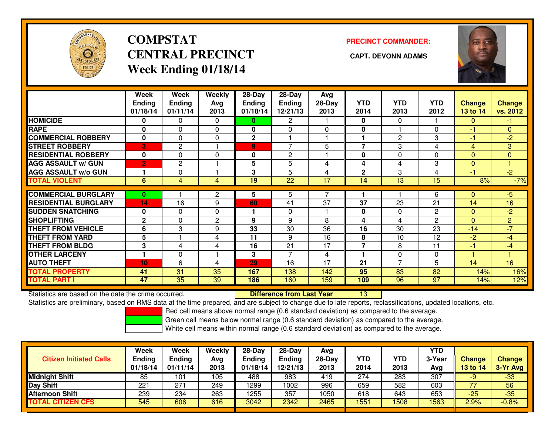

# **COMPSTATCENTRAL PRECINCT** CAPT. DEVONN ADAMS **Week Ending 01/18/14**

### **PRECINCT COMMANDER:**



|                             | Week<br><b>Ending</b><br>01/18/14 | Week<br><b>Ending</b><br>01/11/14 | <b>Weekly</b><br>Avg<br>2013 | 28-Day<br><b>Ending</b><br>01/18/14 | 28-Day<br><b>Ending</b><br>12/21/13 | Avg<br>$28-Day$<br>2013 | <b>YTD</b><br>2014 | <b>YTD</b><br>2013 | <b>YTD</b><br>2012 | Change<br>13 to 14 | <b>Change</b><br>vs. 2012 |
|-----------------------------|-----------------------------------|-----------------------------------|------------------------------|-------------------------------------|-------------------------------------|-------------------------|--------------------|--------------------|--------------------|--------------------|---------------------------|
| <b>HOMICIDE</b>             | 0                                 | 0                                 | 0                            | 0                                   | $\overline{2}$                      |                         | $\bf{0}$           | $\mathbf{0}$       |                    | $\Omega$           | $-1$                      |
| <b>RAPE</b>                 | 0                                 | 0                                 | 0                            | 0                                   | $\Omega$                            | $\Omega$                | 0                  |                    | $\Omega$           | $-1$               | $\mathbf{0}$              |
| <b>COMMERCIAL ROBBERY</b>   | $\bf{0}$                          | 0                                 | 0                            | 2                                   |                                     |                         | 1                  | 2                  | 3                  | $-1$               | $-2$                      |
| <b>STREET ROBBERY</b>       | 3                                 | $\mathbf{2}$                      |                              | 9                                   | $\overline{ }$                      | 5                       | $\overline{7}$     | 3                  | 4                  | $\overline{4}$     | 3                         |
| <b>RESIDENTIAL ROBBERY</b>  | $\mathbf{0}$                      | $\Omega$                          | $\mathbf{0}$                 | 0                                   | $\overline{2}$                      |                         | 0                  | $\Omega$           | $\Omega$           | $\Omega$           | $\Omega$                  |
| <b>AGG ASSAULT w/ GUN</b>   | $\overline{2}$                    | $\mathbf{2}$                      |                              | 5                                   | 5                                   | 4                       | 4                  | 4                  | 3                  | $\Omega$           | 1                         |
| <b>AGG ASSAULT w/o GUN</b>  |                                   | $\Omega$                          |                              | 3                                   | 5                                   | 4                       | $\mathbf{2}$       | 3                  | 4                  | -1                 | $-2$                      |
| <b>TOTAL VIOLENT</b>        | 6                                 | 4                                 | 4                            | 19                                  | $\overline{22}$                     | 17                      | 14                 | 13                 | $\overline{15}$    | 8%                 | $-7%$                     |
|                             |                                   |                                   |                              |                                     |                                     |                         |                    |                    |                    |                    |                           |
| <b>COMMERCIAL BURGLARY</b>  | 0                                 |                                   | 2                            | 5                                   | 5                                   |                         |                    |                    | 6                  | $\Omega$           | $-5$                      |
| <b>RESIDENTIAL BURGLARY</b> | 14                                | 16                                | 9                            | 60                                  | 41                                  | 37                      | 37                 | 23                 | 21                 | 14                 | 16                        |
| <b>SUDDEN SNATCHING</b>     | $\mathbf{0}$                      | 0                                 | 0                            |                                     | 0                                   |                         | 0                  | $\Omega$           | $\mathbf{2}$       | $\mathbf{0}$       | $-2$                      |
| <b>SHOPLIFTING</b>          | $\mathbf{2}$                      | $\Omega$                          | $\mathbf{2}$                 | 9                                   | 9                                   | 8                       | 4                  | 4                  | $\mathbf{2}$       | $\Omega$           | $\overline{2}$            |
| <b>THEFT FROM VEHICLE</b>   | 6                                 | 3                                 | 9                            | 33                                  | 30                                  | 36                      | 16                 | 30                 | 23                 | $-14$              | $-7$                      |
| <b>THEFT FROM YARD</b>      | 5                                 |                                   | 4                            | 11                                  | 9                                   | 16                      | 8                  | 10                 | 12                 | $-2$               | $-4$                      |
| <b>THEFT FROM BLDG</b>      | 3                                 | 4                                 | 4                            | 16                                  | 21                                  | 17                      | $\overline{7}$     | 8                  | 11                 | $-1$               | $-4$                      |
| <b>OTHER LARCENY</b>        |                                   | $\Omega$                          |                              | 3                                   | $\overline{7}$                      | 4                       | 1                  | $\Omega$           | $\Omega$           |                    |                           |
| <b>AUTO THEFT</b>           | 10                                | 6                                 | 4                            | 29                                  | 16                                  | 17                      | 21                 | 7                  | 5                  | 14                 | 16                        |
| <b>TOTAL PROPERTY</b>       | 41                                | 31                                | 35                           | 167                                 | 138                                 | 142                     | 95                 | 83                 | 82                 | 14%                | 16%                       |
| <b>TOTAL PART I</b>         | 47                                | $\overline{35}$                   | 39                           | 186                                 | 160                                 | 159                     | 109                | 96                 | 97                 | 14%                | 12%                       |

Statistics are based on the date the crime occurred. **Difference from Last Year** 

Statistics are preliminary, based on RMS data at the time prepared, and are subject to change due to late reports, reclassifications, updated locations, etc.

Red cell means above normal range (0.6 standard deviation) as compared to the average.

Green cell means below normal range (0.6 standard deviation) as compared to the average.

<sup>13</sup>

| <b>Citizen Initiated Calls</b> | Week<br><b>Ending</b><br>01/18/14 | Week<br>Ending<br>01/11/14 | Weekly<br>Avg<br>2013 | $28-Day$<br>Ending<br>01/18/14 | $28 - Day$<br><b>Ending</b><br>12/21/13 | Avg<br>28-Day<br>2013 | YTD<br>2014 | YTD<br>2013 | <b>YTD</b><br>3-Year<br>Avg | <b>Change</b><br><b>13 to 14</b> | <b>Change</b><br>3-Yr Avg |
|--------------------------------|-----------------------------------|----------------------------|-----------------------|--------------------------------|-----------------------------------------|-----------------------|-------------|-------------|-----------------------------|----------------------------------|---------------------------|
| <b>Midnight Shift</b>          | 85                                | 101                        | 105                   | 488                            | 983                                     | 419                   | 274         | 283         | 307                         | -9                               | $-33$                     |
| Day Shift                      | 221                               | $27 -$                     | 249                   | 1299                           | 1002                                    | 996                   | 659         | 582         | 603                         |                                  | 56                        |
| <b>Afternoon Shift</b>         | 239                               | 234                        | 263                   | 1255                           | 357                                     | 1050                  | 618         | 643         | 653                         | $-25$                            | $-35$                     |
| <b>TOTAL CITIZEN CFS</b>       | 545                               | 606                        | 616                   | 3042                           | 2342                                    | 2465                  | 1551        | 508         | 1563                        | 2.9%                             | $-0.8%$                   |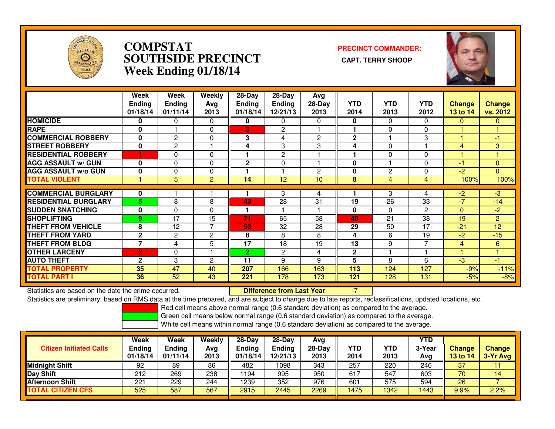

### **COMPSTAT PRECINCT COMMANDER: SOUTHSIDE PRECINCT CAPT. TERRY SHOOPWeek Ending 01/18/14**



|                             | Week<br><b>Ending</b><br>01/18/14 | Week<br><b>Ending</b><br>01/11/14 | Weekly<br>Ava<br>2013 | $28$ -Day<br>Ending<br>01/18/14 | 28-Day<br><b>Ending</b><br>12/21/13 | Avg<br>$28-Day$<br>2013 | <b>YTD</b><br>2014 | <b>YTD</b><br>2013 | <b>YTD</b><br>2012 | <b>Change</b><br>13 to 14 | Change<br>vs. 2012 |
|-----------------------------|-----------------------------------|-----------------------------------|-----------------------|---------------------------------|-------------------------------------|-------------------------|--------------------|--------------------|--------------------|---------------------------|--------------------|
| <b>HOMICIDE</b>             | 0                                 | 0                                 | $\Omega$              | 0                               | 0                                   | $\Omega$                | 0                  | $\Omega$           | 0                  | $\Omega$                  | $\Omega$           |
| <b>RAPE</b>                 | $\mathbf 0$                       |                                   | $\Omega$              | В.                              | $\overline{c}$                      |                         |                    | $\Omega$           | 0                  |                           |                    |
| <b>COMMERCIAL ROBBERY</b>   | 0                                 | $\overline{c}$                    | $\Omega$              | 3                               | 4                                   | $\overline{2}$          | $\overline{2}$     |                    | 3                  |                           | $-1$               |
| <b>STREET ROBBERY</b>       | 0                                 | $\overline{2}$                    |                       | 4                               | 3                                   | 3                       | 4                  | $\Omega$           |                    | 4                         | 3                  |
| <b>RESIDENTIAL ROBBERY</b>  |                                   | $\Omega$                          | $\Omega$              |                                 | $\overline{c}$                      |                         |                    | $\Omega$           | 0                  |                           |                    |
| <b>AGG ASSAULT w/ GUN</b>   | 0                                 | 0                                 | $\Omega$              | $\mathbf{2}$                    | $\Omega$                            |                         | 0                  |                    | 0                  | -1                        | $\Omega$           |
| <b>AGG ASSAULT w/o GUN</b>  | $\mathbf 0$                       | 0                                 | 0                     |                                 |                                     | $\overline{2}$          | 0                  | $\overline{2}$     | 0                  | -2                        | $\Omega$           |
| <b>TOTAL VIOLENT</b>        |                                   | 5                                 | 2                     | 14                              | 12                                  | 10                      | 8                  | 4                  | 4                  | 100%                      | 100%               |
| <b>COMMERCIAL BURGLARY</b>  | 0                                 |                                   |                       |                                 | 3                                   | 4                       |                    | 3                  | 4                  | -2                        | $-3$               |
| <b>RESIDENTIAL BURGLARY</b> | 5.                                | 8                                 | 8                     | 43                              | 28                                  | 31                      | 19                 | 26                 | 33                 | $-7$                      | $-14$              |
| <b>SUDDEN SNATCHING</b>     | $\mathbf 0$                       | 0                                 | $\Omega$              |                                 |                                     |                         | $\mathbf 0$        | $\Omega$           | $\overline{c}$     | $\Omega$                  | $-2$               |
| <b>SHOPLIFTING</b>          | 9                                 | 17                                | 15                    | 71                              | 65                                  | 58                      | 40                 | 21                 | 38                 | 19                        | $\overline{2}$     |
| <b>THEFT FROM VEHICLE</b>   | 8                                 | 12                                | 7                     | 53                              | 32                                  | 28                      | 29                 | 50                 | 17                 | $-21$                     | 12                 |
| <b>THEFT FROM YARD</b>      | $\mathbf{2}$                      | $\overline{c}$                    | $\overline{c}$        | 8                               | 8                                   | 8                       | 4                  | 6                  | 19                 | -2                        | $-15$              |
| <b>THEFT FROM BLDG</b>      | $\overline{7}$                    | 4                                 | 5                     | 17                              | 18                                  | 19                      | 13                 | 9                  | 7                  | 4                         | 6                  |
| <b>OTHER LARCENY</b>        | $\overline{2}$                    | 0                                 |                       | $\overline{2}$                  | 2                                   | 4                       | $\mathbf{2}$       |                    |                    |                           |                    |
| <b>AUTO THEFT</b>           | $\overline{2}$                    | 3                                 | $\overline{2}$        | 11                              | 9                                   | 9                       | 5                  | 8                  | 6                  | -3                        | $-1$               |
| <b>TOTAL PROPERTY</b>       | 35                                | 47                                | 40                    | 207                             | 166                                 | 163                     | 113                | 124                | 127                | $-9%$                     | $-11%$             |
| <b>TOTAL PART I</b>         | 36                                | $\overline{52}$                   | 43                    | 221                             | 178                                 | 173                     | 121                | 128                | 131                | $-5%$                     | $-8%$              |

Statistics are based on the date the crime occurred. **Difference from Last Year** Statistics are based on the date the crime occurred. **Externee the Difference from Last Year Theody Heapth Heapt**<br>Statistics are preliminary, based on RMS data at the time prepared, and are subject to change due to late re

Red cell means above normal range (0.6 standard deviation) as compared to the average.

Green cell means below normal range (0.6 standard deviation) as compared to the average.

| <b>Citizen Initiated Calls</b> | Week<br><b>Ending</b><br>01/18/14 | <b>Week</b><br>Ending<br>01/11/14 | Weekly<br>Avg<br>2013 | 28-Dav<br>Ending<br>01/18/14 | $28-Dav$<br><b>Ending</b><br>12/21/13 | Avg<br>$28-Day$<br>2013 | <b>YTD</b><br>2014 | YTD<br>2013 | <b>YTD</b><br>3-Year<br>Avg | <b>Change</b><br>13 to 14 | <b>Change</b><br>3-Yr Avg |
|--------------------------------|-----------------------------------|-----------------------------------|-----------------------|------------------------------|---------------------------------------|-------------------------|--------------------|-------------|-----------------------------|---------------------------|---------------------------|
| <b>Midnight Shift</b>          | 92                                | 89                                | 86                    | 482                          | 1098                                  | 343                     | 257                | 220         | 246                         | 37                        |                           |
| Day Shift                      | 212                               | 269                               | 238                   | 1194                         | 995                                   | 950                     | 617                | 547         | 603                         | 70                        | 14                        |
| <b>Afternoon Shift</b>         | 221                               | 229                               | 244                   | 1239                         | 352                                   | 976                     | 601                | 575         | 594                         | 26                        |                           |
| <b>CITIZEN CFS</b><br>ΤΟΤΑL    | 525                               | 587                               | 567                   | 2915                         | 2445                                  | 2269                    | 1475               | 1342        | 1443                        | 9.9%                      | $2.2\%$                   |